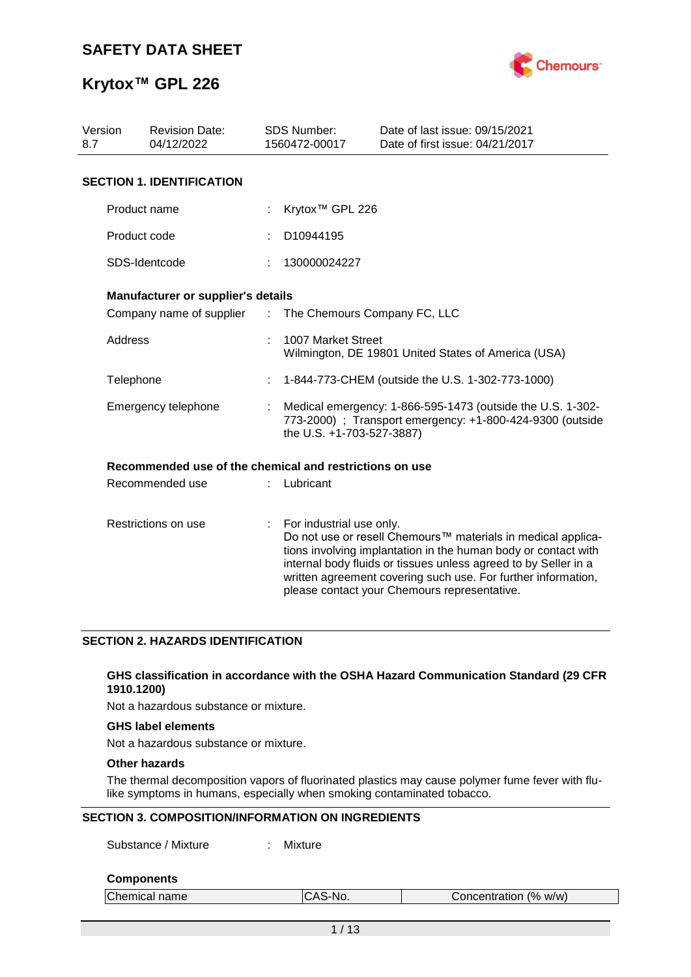

| Version<br>8.7 | <b>Revision Date:</b><br>04/12/2022                     |               | <b>SDS Number:</b><br>1560472-00017 | Date of last issue: 09/15/2021<br>Date of first issue: 04/21/2017                                                                                                                                                                                                                                                  |
|----------------|---------------------------------------------------------|---------------|-------------------------------------|--------------------------------------------------------------------------------------------------------------------------------------------------------------------------------------------------------------------------------------------------------------------------------------------------------------------|
|                | <b>SECTION 1. IDENTIFICATION</b>                        |               |                                     |                                                                                                                                                                                                                                                                                                                    |
|                | Product name                                            |               | Krytox <sup>™</sup> GPL 226         |                                                                                                                                                                                                                                                                                                                    |
|                | Product code                                            |               | D <sub>10944195</sub>               |                                                                                                                                                                                                                                                                                                                    |
|                | SDS-Identcode                                           |               | 130000024227                        |                                                                                                                                                                                                                                                                                                                    |
|                | Manufacturer or supplier's details                      |               |                                     |                                                                                                                                                                                                                                                                                                                    |
|                | Company name of supplier                                | $\mathcal{L}$ | The Chemours Company FC, LLC        |                                                                                                                                                                                                                                                                                                                    |
|                | Address                                                 |               | 1007 Market Street                  | Wilmington, DE 19801 United States of America (USA)                                                                                                                                                                                                                                                                |
| Telephone      |                                                         |               |                                     | 1-844-773-CHEM (outside the U.S. 1-302-773-1000)                                                                                                                                                                                                                                                                   |
|                | Emergency telephone                                     |               | the U.S. +1-703-527-3887)           | Medical emergency: 1-866-595-1473 (outside the U.S. 1-302-<br>773-2000) ; Transport emergency: +1-800-424-9300 (outside                                                                                                                                                                                            |
|                | Recommended use of the chemical and restrictions on use |               |                                     |                                                                                                                                                                                                                                                                                                                    |
|                | Recommended use                                         |               | Lubricant                           |                                                                                                                                                                                                                                                                                                                    |
|                | Restrictions on use                                     | ÷             | For industrial use only.            | Do not use or resell Chemours™ materials in medical applica-<br>tions involving implantation in the human body or contact with<br>internal body fluids or tissues unless agreed to by Seller in a<br>written agreement covering such use. For further information,<br>please contact your Chemours representative. |

#### **SECTION 2. HAZARDS IDENTIFICATION**

#### **GHS classification in accordance with the OSHA Hazard Communication Standard (29 CFR 1910.1200)**

Not a hazardous substance or mixture.

#### **GHS label elements**

Not a hazardous substance or mixture.

#### **Other hazards**

The thermal decomposition vapors of fluorinated plastics may cause polymer fume fever with flulike symptoms in humans, especially when smoking contaminated tobacco.

#### **SECTION 3. COMPOSITION/INFORMATION ON INGREDIENTS**

Substance / Mixture : Mixture

#### **Components**

| Chemical name | CAS-No. | Concentration (% w/w) |
|---------------|---------|-----------------------|
|               |         |                       |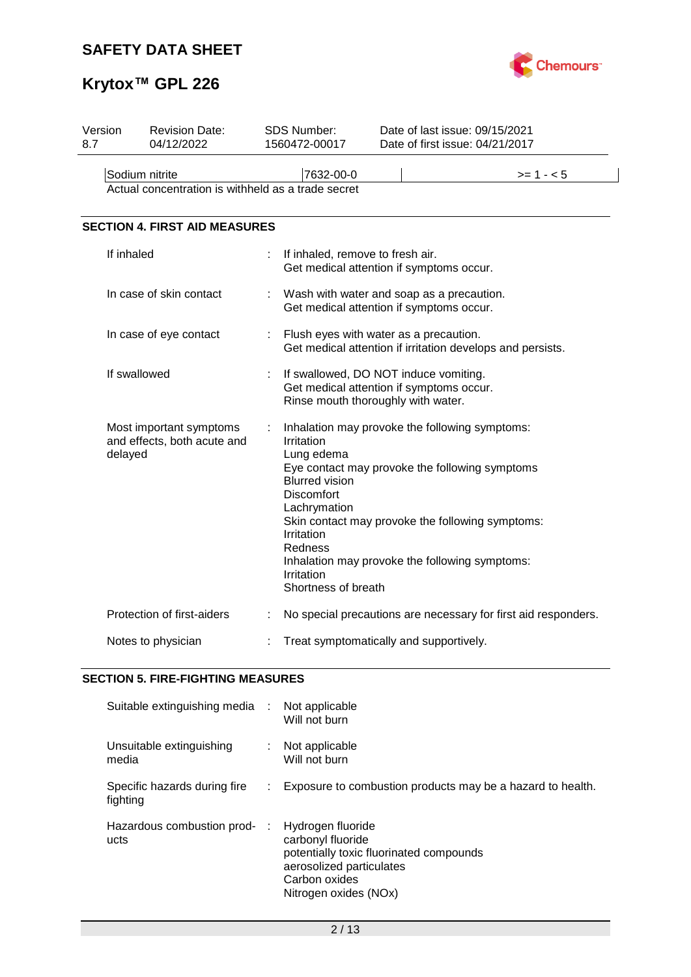# **SAFETY DATA SHEET**



# **Krytox™ GPL 226**

| Version<br>8.7 | <b>Revision Date:</b><br>04/12/2022                                  |   | <b>SDS Number:</b><br>1560472-00017                                                                                                                  | Date of last issue: 09/15/2021<br>Date of first issue: 04/21/2017                                                                                                                                      |
|----------------|----------------------------------------------------------------------|---|------------------------------------------------------------------------------------------------------------------------------------------------------|--------------------------------------------------------------------------------------------------------------------------------------------------------------------------------------------------------|
|                | Sodium nitrite<br>Actual concentration is withheld as a trade secret |   | 7632-00-0                                                                                                                                            | $>= 1 - 5$                                                                                                                                                                                             |
|                | <b>SECTION 4. FIRST AID MEASURES</b>                                 |   |                                                                                                                                                      |                                                                                                                                                                                                        |
|                | If inhaled                                                           |   | If inhaled, remove to fresh air.                                                                                                                     | Get medical attention if symptoms occur.                                                                                                                                                               |
|                | In case of skin contact                                              |   |                                                                                                                                                      | Wash with water and soap as a precaution.<br>Get medical attention if symptoms occur.                                                                                                                  |
|                | In case of eye contact                                               |   | Flush eyes with water as a precaution.                                                                                                               | Get medical attention if irritation develops and persists.                                                                                                                                             |
|                | If swallowed                                                         |   | If swallowed, DO NOT induce vomiting.<br>Rinse mouth thoroughly with water.                                                                          | Get medical attention if symptoms occur.                                                                                                                                                               |
|                | Most important symptoms<br>and effects, both acute and<br>delayed    |   | Irritation<br>Lung edema<br><b>Blurred vision</b><br><b>Discomfort</b><br>Lachrymation<br>Irritation<br>Redness<br>Irritation<br>Shortness of breath | Inhalation may provoke the following symptoms:<br>Eye contact may provoke the following symptoms<br>Skin contact may provoke the following symptoms:<br>Inhalation may provoke the following symptoms: |
|                | Protection of first-aiders                                           | ÷ |                                                                                                                                                      | No special precautions are necessary for first aid responders.                                                                                                                                         |
|                | Notes to physician                                                   |   | Treat symptomatically and supportively.                                                                                                              |                                                                                                                                                                                                        |

## **SECTION 5. FIRE-FIGHTING MEASURES**

| Suitable extinguishing media :           |    | Not applicable<br>Will not burn                                                                                                                         |
|------------------------------------------|----|---------------------------------------------------------------------------------------------------------------------------------------------------------|
| Unsuitable extinguishing<br>media        |    | : Not applicable<br>Will not burn                                                                                                                       |
| Specific hazards during fire<br>fighting | ÷. | Exposure to combustion products may be a hazard to health.                                                                                              |
| Hazardous combustion prod-<br>ucts       | ÷  | Hydrogen fluoride<br>carbonyl fluoride<br>potentially toxic fluorinated compounds<br>aerosolized particulates<br>Carbon oxides<br>Nitrogen oxides (NOx) |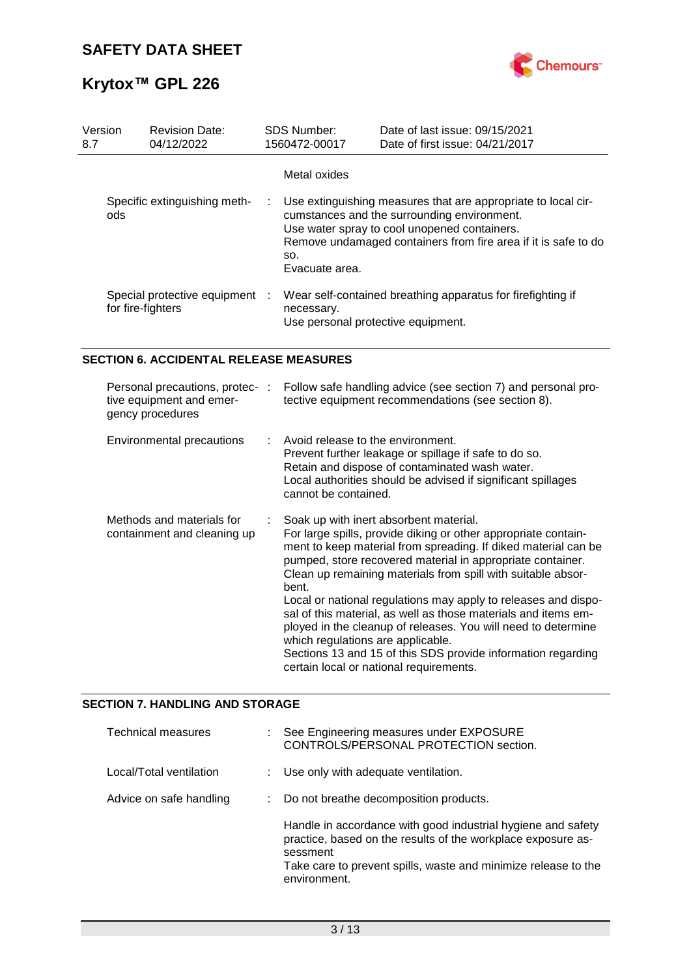

| Version<br>8.7 | <b>Revision Date:</b><br>04/12/2022                 | SDS Number:<br>1560472-00017 | Date of last issue: 09/15/2021<br>Date of first issue: 04/21/2017                                                                                                                                                              |
|----------------|-----------------------------------------------------|------------------------------|--------------------------------------------------------------------------------------------------------------------------------------------------------------------------------------------------------------------------------|
|                |                                                     | Metal oxides                 |                                                                                                                                                                                                                                |
|                | Specific extinguishing meth-<br>ods                 | SO.<br>Evacuate area.        | Use extinguishing measures that are appropriate to local cir-<br>cumstances and the surrounding environment.<br>Use water spray to cool unopened containers.<br>Remove undamaged containers from fire area if it is safe to do |
|                | Special protective equipment :<br>for fire-fighters | necessary.                   | Wear self-contained breathing apparatus for firefighting if<br>Use personal protective equipment.                                                                                                                              |
|                | <b>SECTION 6. ACCIDENTAL RELEASE MEASURES</b>       |                              |                                                                                                                                                                                                                                |

| Personal precautions, protec- :<br>tive equipment and emer-<br>gency procedures | Follow safe handling advice (see section 7) and personal pro-<br>tective equipment recommendations (see section 8).                                                                                                                                                                                                                                                                                                                                                                                                                                                                                                                                                    |
|---------------------------------------------------------------------------------|------------------------------------------------------------------------------------------------------------------------------------------------------------------------------------------------------------------------------------------------------------------------------------------------------------------------------------------------------------------------------------------------------------------------------------------------------------------------------------------------------------------------------------------------------------------------------------------------------------------------------------------------------------------------|
| Environmental precautions                                                       | Avoid release to the environment.<br>Prevent further leakage or spillage if safe to do so.<br>Retain and dispose of contaminated wash water.<br>Local authorities should be advised if significant spillages<br>cannot be contained.                                                                                                                                                                                                                                                                                                                                                                                                                                   |
| Methods and materials for<br>containment and cleaning up                        | Soak up with inert absorbent material.<br>For large spills, provide diking or other appropriate contain-<br>ment to keep material from spreading. If diked material can be<br>pumped, store recovered material in appropriate container.<br>Clean up remaining materials from spill with suitable absor-<br>bent.<br>Local or national regulations may apply to releases and dispo-<br>sal of this material, as well as those materials and items em-<br>ployed in the cleanup of releases. You will need to determine<br>which regulations are applicable.<br>Sections 13 and 15 of this SDS provide information regarding<br>certain local or national requirements. |

### **SECTION 7. HANDLING AND STORAGE**

| <b>Technical measures</b> | See Engineering measures under EXPOSURE<br>CONTROLS/PERSONAL PROTECTION section.                                                                                                                                           |
|---------------------------|----------------------------------------------------------------------------------------------------------------------------------------------------------------------------------------------------------------------------|
| Local/Total ventilation   | : Use only with adequate ventilation.                                                                                                                                                                                      |
| Advice on safe handling   | : Do not breathe decomposition products.                                                                                                                                                                                   |
|                           | Handle in accordance with good industrial hygiene and safety<br>practice, based on the results of the workplace exposure as-<br>sessment<br>Take care to prevent spills, waste and minimize release to the<br>environment. |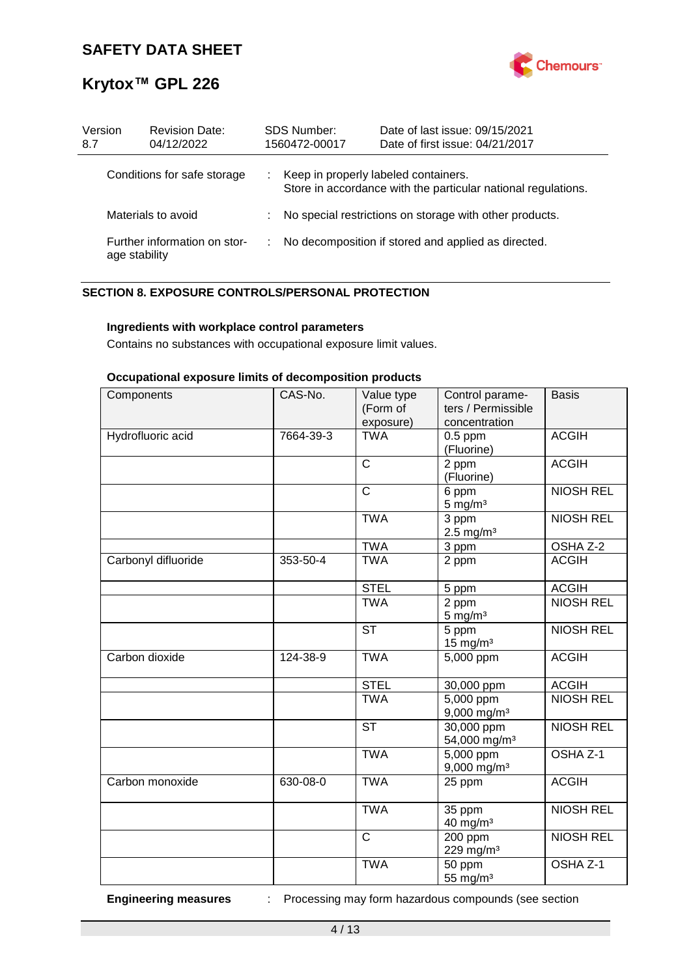

| Version<br>8.7     | <b>Revision Date:</b><br>04/12/2022           |   | <b>SDS Number:</b><br>1560472-00017                     | Date of last issue: 09/15/2021<br>Date of first issue: 04/21/2017 |  |
|--------------------|-----------------------------------------------|---|---------------------------------------------------------|-------------------------------------------------------------------|--|
|                    | Conditions for safe storage                   |   | Keep in properly labeled containers.                    | Store in accordance with the particular national regulations.     |  |
| Materials to avoid |                                               |   | No special restrictions on storage with other products. |                                                                   |  |
|                    | Further information on stor-<br>age stability | ÷ |                                                         | No decomposition if stored and applied as directed.               |  |

### **SECTION 8. EXPOSURE CONTROLS/PERSONAL PROTECTION**

#### **Ingredients with workplace control parameters**

Contains no substances with occupational exposure limit values.

#### **Occupational exposure limits of decomposition products**

| Components          | CAS-No.   | Value type<br>(Form of<br>exposure) | Control parame-<br>ters / Permissible<br>concentration | <b>Basis</b>        |
|---------------------|-----------|-------------------------------------|--------------------------------------------------------|---------------------|
| Hydrofluoric acid   | 7664-39-3 | <b>TWA</b>                          | $0.5$ ppm<br>(Fluorine)                                | <b>ACGIH</b>        |
|                     |           | $\overline{\text{c}}$               | 2 ppm<br>(Fluorine)                                    | <b>ACGIH</b>        |
|                     |           | $\overline{\text{c}}$               | 6 ppm<br>$5 \text{ mg/m}^3$                            | <b>NIOSH REL</b>    |
|                     |           | <b>TWA</b>                          | 3 ppm<br>$2.5$ mg/m <sup>3</sup>                       | <b>NIOSH REL</b>    |
|                     |           | <b>TWA</b>                          | 3 ppm                                                  | OSHA Z-2            |
| Carbonyl difluoride | 353-50-4  | <b>TWA</b>                          | 2 ppm                                                  | <b>ACGIH</b>        |
|                     |           | <b>STEL</b>                         | 5 ppm                                                  | <b>ACGIH</b>        |
|                     |           | <b>TWA</b>                          | 2 ppm<br>$5 \text{ mg/m}^3$                            | <b>NIOSH REL</b>    |
|                     |           | <b>ST</b>                           | 5 ppm<br>$15 \text{ mg/m}^3$                           | <b>NIOSH REL</b>    |
| Carbon dioxide      | 124-38-9  | <b>TWA</b>                          | $5,000$ ppm                                            | <b>ACGIH</b>        |
|                     |           | <b>STEL</b>                         | 30,000 ppm                                             | <b>ACGIH</b>        |
|                     |           | <b>TWA</b>                          | 5,000 ppm<br>$9,000$ mg/m <sup>3</sup>                 | <b>NIOSH REL</b>    |
|                     |           | <b>ST</b>                           | 30,000 ppm<br>54,000 mg/m <sup>3</sup>                 | <b>NIOSH REL</b>    |
|                     |           | <b>TWA</b>                          | 5,000 ppm<br>$9,000$ mg/m <sup>3</sup>                 | OSHA <sub>Z-1</sub> |
| Carbon monoxide     | 630-08-0  | <b>TWA</b>                          | 25 ppm                                                 | <b>ACGIH</b>        |
|                     |           | <b>TWA</b>                          | 35 ppm<br>40 mg/m <sup>3</sup>                         | <b>NIOSH REL</b>    |
|                     |           | $\overline{\text{c}}$               | 200 ppm<br>229 mg/m <sup>3</sup>                       | <b>NIOSH REL</b>    |
|                     |           | <b>TWA</b>                          | 50 ppm<br>55 mg/m <sup>3</sup>                         | OSHA Z-1            |

**Engineering measures** : Processing may form hazardous compounds (see section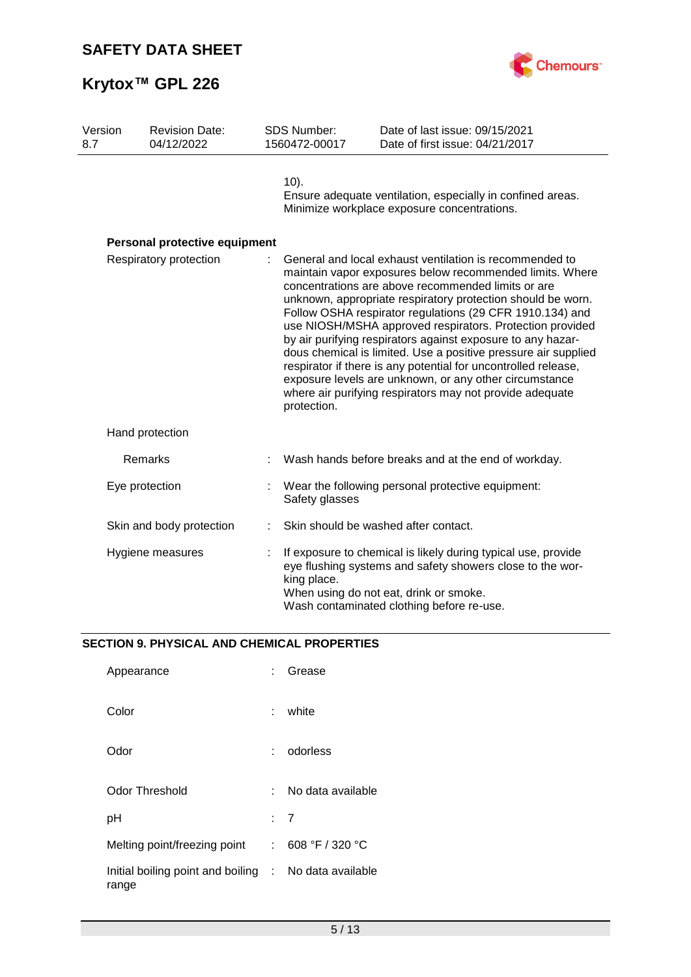

| Version<br>8.7 | <b>Revision Date:</b><br>04/12/2022 | <b>SDS Number:</b><br>1560472-00017 | Date of last issue: 09/15/2021<br>Date of first issue: 04/21/2017                                                                                                                                                                                                                                                                                                                                                                                                                                                                                                                                                                                                                         |
|----------------|-------------------------------------|-------------------------------------|-------------------------------------------------------------------------------------------------------------------------------------------------------------------------------------------------------------------------------------------------------------------------------------------------------------------------------------------------------------------------------------------------------------------------------------------------------------------------------------------------------------------------------------------------------------------------------------------------------------------------------------------------------------------------------------------|
|                |                                     | $10$ ).                             | Ensure adequate ventilation, especially in confined areas.<br>Minimize workplace exposure concentrations.                                                                                                                                                                                                                                                                                                                                                                                                                                                                                                                                                                                 |
|                | Personal protective equipment       |                                     |                                                                                                                                                                                                                                                                                                                                                                                                                                                                                                                                                                                                                                                                                           |
|                | Respiratory protection              | protection.                         | General and local exhaust ventilation is recommended to<br>maintain vapor exposures below recommended limits. Where<br>concentrations are above recommended limits or are<br>unknown, appropriate respiratory protection should be worn.<br>Follow OSHA respirator regulations (29 CFR 1910.134) and<br>use NIOSH/MSHA approved respirators. Protection provided<br>by air purifying respirators against exposure to any hazar-<br>dous chemical is limited. Use a positive pressure air supplied<br>respirator if there is any potential for uncontrolled release,<br>exposure levels are unknown, or any other circumstance<br>where air purifying respirators may not provide adequate |
|                | Hand protection                     |                                     |                                                                                                                                                                                                                                                                                                                                                                                                                                                                                                                                                                                                                                                                                           |
|                | Remarks                             |                                     | Wash hands before breaks and at the end of workday.                                                                                                                                                                                                                                                                                                                                                                                                                                                                                                                                                                                                                                       |
|                | Eye protection                      | Safety glasses                      | Wear the following personal protective equipment:                                                                                                                                                                                                                                                                                                                                                                                                                                                                                                                                                                                                                                         |
|                | Skin and body protection            |                                     | Skin should be washed after contact.                                                                                                                                                                                                                                                                                                                                                                                                                                                                                                                                                                                                                                                      |
|                | Hygiene measures                    | king place.                         | If exposure to chemical is likely during typical use, provide<br>eye flushing systems and safety showers close to the wor-<br>When using do not eat, drink or smoke.<br>Wash contaminated clothing before re-use.                                                                                                                                                                                                                                                                                                                                                                                                                                                                         |

## **SECTION 9. PHYSICAL AND CHEMICAL PROPERTIES**

| Appearance                                                     |    | Grease            |
|----------------------------------------------------------------|----|-------------------|
| Color                                                          | t. | white             |
| Odor                                                           |    | odorless          |
| Odor Threshold                                                 | ٠. | No data available |
| рH                                                             |    | : 7               |
| Melting point/freezing point                                   | t. | 608 °F / 320 °C   |
| Initial boiling point and boiling : No data available<br>range |    |                   |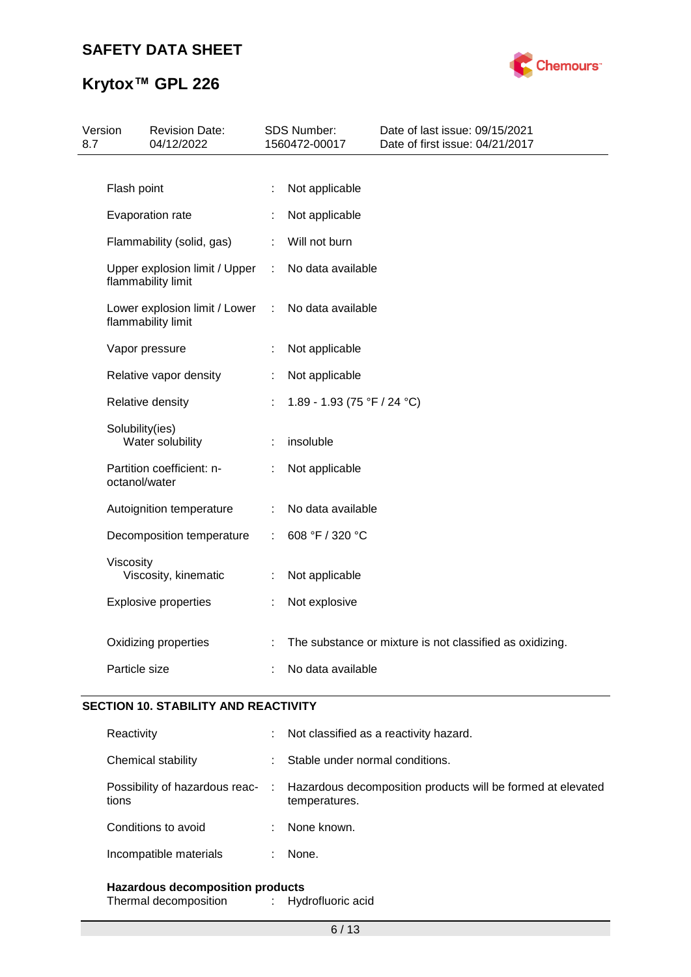

| 8.7 | Version         | <b>Revision Date:</b><br>04/12/2022                 |   | SDS Number:<br>1560472-00017 | Date of last issue: 09/15/2021<br>Date of first issue: 04/21/2017 |
|-----|-----------------|-----------------------------------------------------|---|------------------------------|-------------------------------------------------------------------|
|     |                 |                                                     |   |                              |                                                                   |
|     | Flash point     |                                                     | ÷ | Not applicable               |                                                                   |
|     |                 | Evaporation rate                                    |   | Not applicable               |                                                                   |
|     |                 | Flammability (solid, gas)                           | ÷ | Will not burn                |                                                                   |
|     |                 | Upper explosion limit / Upper<br>flammability limit | ÷ | No data available            |                                                                   |
|     |                 | Lower explosion limit / Lower<br>flammability limit | ÷ | No data available            |                                                                   |
|     |                 | Vapor pressure                                      |   | Not applicable               |                                                                   |
|     |                 | Relative vapor density                              |   | Not applicable               |                                                                   |
|     |                 | Relative density                                    |   | 1.89 - 1.93 (75 °F / 24 °C)  |                                                                   |
|     | Solubility(ies) | Water solubility                                    |   | insoluble                    |                                                                   |
|     | octanol/water   | Partition coefficient: n-                           | t | Not applicable               |                                                                   |
|     |                 | Autoignition temperature                            | ÷ | No data available            |                                                                   |
|     |                 | Decomposition temperature                           | ÷ | 608 °F / 320 °C              |                                                                   |
|     | Viscosity       | Viscosity, kinematic                                | ÷ | Not applicable               |                                                                   |
|     |                 | <b>Explosive properties</b>                         |   | Not explosive                |                                                                   |
|     |                 | Oxidizing properties                                |   |                              | The substance or mixture is not classified as oxidizing.          |
|     | Particle size   |                                                     |   | No data available            |                                                                   |
|     |                 |                                                     |   |                              |                                                                   |

## **SECTION 10. STABILITY AND REACTIVITY**

| Reactivity             |    | Not classified as a reactivity hazard.                                                                        |
|------------------------|----|---------------------------------------------------------------------------------------------------------------|
| Chemical stability     |    | Stable under normal conditions.                                                                               |
| tions                  |    | Possibility of hazardous reac- : Hazardous decomposition products will be formed at elevated<br>temperatures. |
| Conditions to avoid    | ÷. | None known.                                                                                                   |
| Incompatible materials |    | None.                                                                                                         |
|                        |    |                                                                                                               |

### **Hazardous decomposition products**

Thermal decomposition : Hydrofluoric acid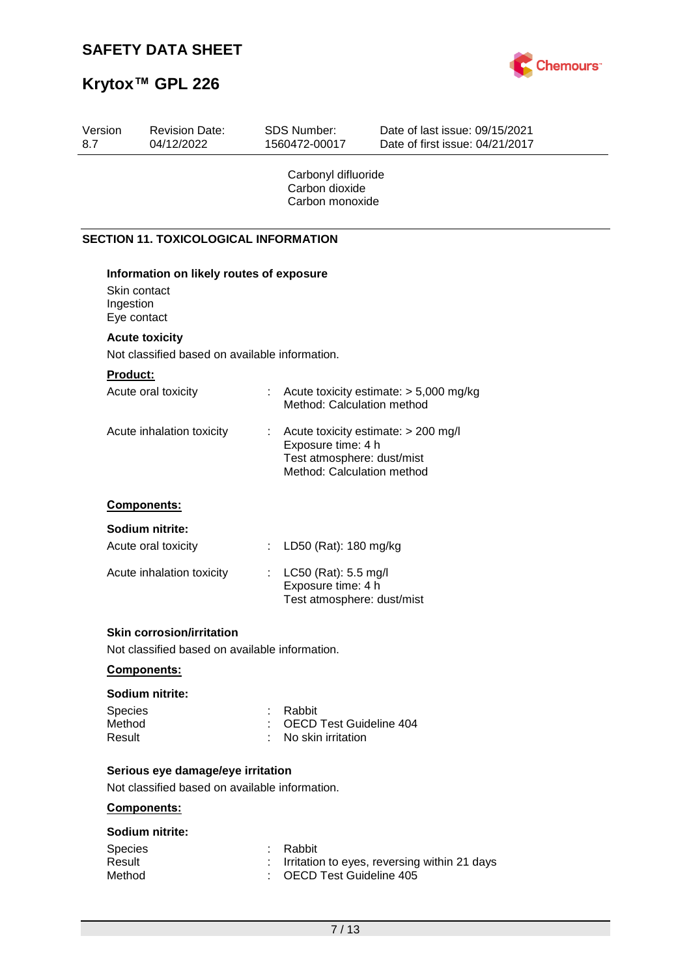

| Version<br>8.7              | <b>Revision Date:</b><br>04/12/2022                                                | <b>SDS Number:</b><br>1560472-00017                      | Date of last issue: 09/15/2021<br>Date of first issue: 04/21/2017                               |
|-----------------------------|------------------------------------------------------------------------------------|----------------------------------------------------------|-------------------------------------------------------------------------------------------------|
|                             |                                                                                    | Carbonyl difluoride<br>Carbon dioxide<br>Carbon monoxide |                                                                                                 |
|                             | <b>SECTION 11. TOXICOLOGICAL INFORMATION</b>                                       |                                                          |                                                                                                 |
| Ingestion                   | Information on likely routes of exposure<br>Skin contact<br>Eye contact            |                                                          |                                                                                                 |
|                             | <b>Acute toxicity</b>                                                              |                                                          |                                                                                                 |
|                             | Not classified based on available information.                                     |                                                          |                                                                                                 |
| Product:                    |                                                                                    |                                                          |                                                                                                 |
|                             | Acute oral toxicity                                                                | t.                                                       | Acute toxicity estimate: $> 5,000$ mg/kg<br>Method: Calculation method                          |
|                             | Acute inhalation toxicity                                                          | Exposure time: 4 h                                       | Acute toxicity estimate: > 200 mg/l<br>Test atmosphere: dust/mist<br>Method: Calculation method |
|                             | Components:                                                                        |                                                          |                                                                                                 |
|                             | Sodium nitrite:<br>Acute oral toxicity                                             | LD50 (Rat): 180 mg/kg<br>÷                               |                                                                                                 |
|                             | Acute inhalation toxicity                                                          | LC50 (Rat): 5.5 mg/l<br>Exposure time: 4 h               | Test atmosphere: dust/mist                                                                      |
|                             | <b>Skin corrosion/irritation</b><br>Not classified based on available information. |                                                          |                                                                                                 |
|                             | Components:                                                                        |                                                          |                                                                                                 |
| Species<br>Method<br>Result | Sodium nitrite:                                                                    | Rabbit<br>No skin irritation                             | OECD Test Guideline 404                                                                         |
|                             | Serious eye damage/eye irritation                                                  |                                                          |                                                                                                 |
|                             | Not classified based on available information.<br>Components:                      |                                                          |                                                                                                 |
|                             | Sodium nitrite:                                                                    |                                                          |                                                                                                 |
| Species<br>Result<br>Method |                                                                                    | Rabbit                                                   | Irritation to eyes, reversing within 21 days<br><b>OECD Test Guideline 405</b>                  |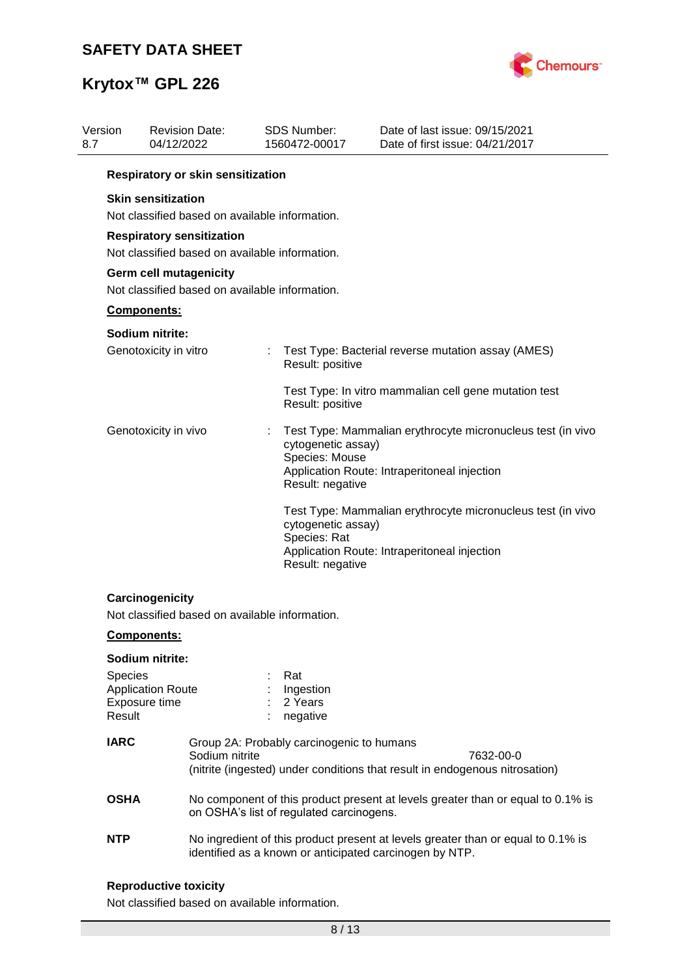

| Version<br>8.7 |                   | <b>Revision Date:</b><br>04/12/2022                                                | <b>SDS Number:</b><br>1560472-00017                     |                    | Date of last issue: 09/15/2021<br>Date of first issue: 04/21/2017                                           |
|----------------|-------------------|------------------------------------------------------------------------------------|---------------------------------------------------------|--------------------|-------------------------------------------------------------------------------------------------------------|
|                |                   | Respiratory or skin sensitization                                                  |                                                         |                    |                                                                                                             |
|                |                   | <b>Skin sensitization</b><br>Not classified based on available information.        |                                                         |                    |                                                                                                             |
|                |                   | <b>Respiratory sensitization</b><br>Not classified based on available information. |                                                         |                    |                                                                                                             |
|                |                   | Germ cell mutagenicity<br>Not classified based on available information.           |                                                         |                    |                                                                                                             |
|                |                   | Components:                                                                        |                                                         |                    |                                                                                                             |
|                |                   | Sodium nitrite:                                                                    |                                                         |                    |                                                                                                             |
|                |                   | Genotoxicity in vitro                                                              | Result: positive                                        |                    | Test Type: Bacterial reverse mutation assay (AMES)                                                          |
|                |                   |                                                                                    | Result: positive                                        |                    | Test Type: In vitro mammalian cell gene mutation test                                                       |
|                |                   | Genotoxicity in vivo                                                               | Species: Mouse<br>Result: negative                      | cytogenetic assay) | Test Type: Mammalian erythrocyte micronucleus test (in vivo<br>Application Route: Intraperitoneal injection |
|                |                   |                                                                                    | Species: Rat<br>Result: negative                        | cytogenetic assay) | Test Type: Mammalian erythrocyte micronucleus test (in vivo<br>Application Route: Intraperitoneal injection |
|                |                   | Carcinogenicity<br>Not classified based on available information.                  |                                                         |                    |                                                                                                             |
|                |                   | <b>Components:</b>                                                                 |                                                         |                    |                                                                                                             |
|                |                   | Sodium nitrite:                                                                    |                                                         |                    |                                                                                                             |
|                | Species<br>Result | <b>Application Route</b><br>Exposure time                                          | Rat<br>Ingestion<br>2 Years<br>negative                 |                    |                                                                                                             |
|                | <b>IARC</b>       | Sodium nitrite                                                                     | Group 2A: Probably carcinogenic to humans               |                    | 7632-00-0<br>(nitrite (ingested) under conditions that result in endogenous nitrosation)                    |
|                | <b>OSHA</b>       |                                                                                    | on OSHA's list of regulated carcinogens.                |                    | No component of this product present at levels greater than or equal to 0.1% is                             |
|                | <b>NTP</b>        |                                                                                    | identified as a known or anticipated carcinogen by NTP. |                    | No ingredient of this product present at levels greater than or equal to 0.1% is                            |

## **Reproductive toxicity**

Not classified based on available information.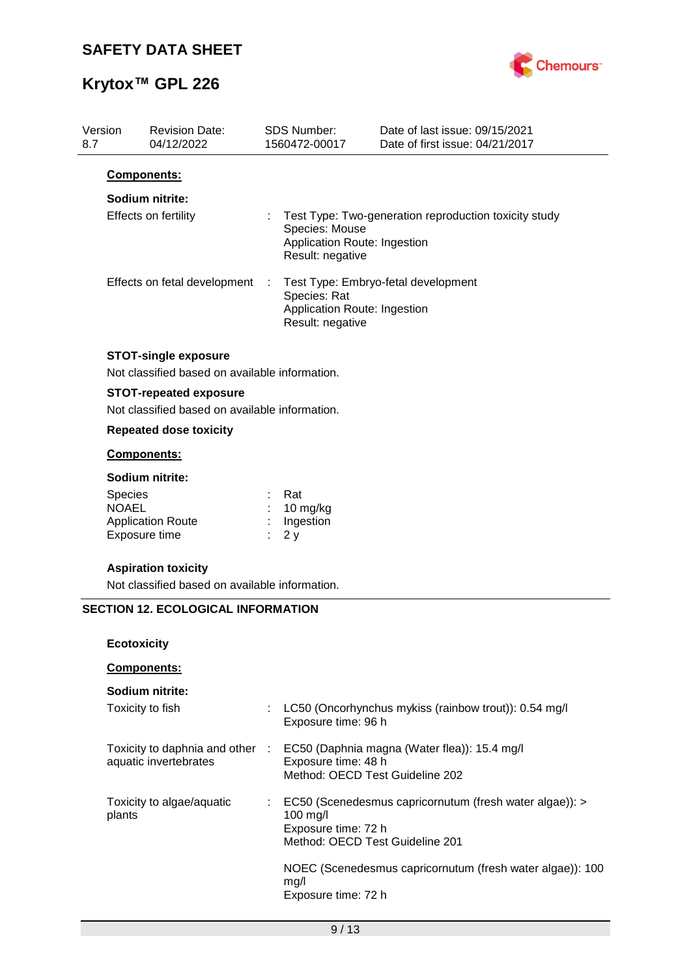

| Version<br>8.7 | <b>Revision Date:</b><br>04/12/2022                                           |   | <b>SDS Number:</b><br>1560472-00017                                | Date of last issue: 09/15/2021<br>Date of first issue: 04/21/2017 |
|----------------|-------------------------------------------------------------------------------|---|--------------------------------------------------------------------|-------------------------------------------------------------------|
|                | <b>Components:</b>                                                            |   |                                                                    |                                                                   |
|                | Sodium nitrite:                                                               |   |                                                                    |                                                                   |
|                | Effects on fertility                                                          |   | Species: Mouse<br>Application Route: Ingestion<br>Result: negative | Test Type: Two-generation reproduction toxicity study             |
|                | Effects on fetal development                                                  | ÷ | Species: Rat<br>Application Route: Ingestion<br>Result: negative   | Test Type: Embryo-fetal development                               |
|                | <b>STOT-single exposure</b><br>Not classified based on available information. |   |                                                                    |                                                                   |
|                | <b>STOT-repeated exposure</b>                                                 |   |                                                                    |                                                                   |
|                | Not classified based on available information.                                |   |                                                                    |                                                                   |
|                | <b>Repeated dose toxicity</b>                                                 |   |                                                                    |                                                                   |
|                | Components:                                                                   |   |                                                                    |                                                                   |
|                | Sodium nitrite:                                                               |   |                                                                    |                                                                   |
| Species        |                                                                               |   | Rat                                                                |                                                                   |
| <b>NOAEL</b>   | <b>Application Route</b>                                                      |   | 10 mg/kg<br>Ingestion                                              |                                                                   |
|                | Exposure time                                                                 |   | 2y                                                                 |                                                                   |
|                | <b>Aspiration toxicity</b>                                                    |   |                                                                    |                                                                   |
|                | Not classified based on available information.                                |   |                                                                    |                                                                   |
|                | <b>SECTION 12. ECOLOGICAL INFORMATION</b>                                     |   |                                                                    |                                                                   |
|                | <b>Ecotoxicity</b>                                                            |   |                                                                    |                                                                   |
|                | Components:                                                                   |   |                                                                    |                                                                   |
|                | Sodium nitrite:                                                               |   |                                                                    |                                                                   |
|                | Toxicity to fish                                                              |   | Exposure time: 96 h                                                | LC50 (Oncorhynchus mykiss (rainbow trout)): 0.54 mg/l             |
|                | Toxicity to daphnia and other :                                               |   |                                                                    | EC50 (Daphnia magna (Water flea)): 15.4 mg/l                      |
|                | aquatic invertebrates                                                         |   | Exposure time: 48 h                                                |                                                                   |
|                |                                                                               |   | Method: OECD Test Guideline 202                                    |                                                                   |
|                | Toxicity to algae/aquatic                                                     |   |                                                                    | EC50 (Scenedesmus capricornutum (fresh water algae)): >           |
| plants         |                                                                               |   | 100 mg/l                                                           |                                                                   |
|                |                                                                               |   | Exposure time: 72 h<br>Method: OECD Test Guideline 201             |                                                                   |
|                |                                                                               |   |                                                                    | NOEC (Scenedesmus capricornutum (fresh water algae)): 100         |
|                |                                                                               |   | mg/l                                                               |                                                                   |
|                |                                                                               |   | Exposure time: 72 h                                                |                                                                   |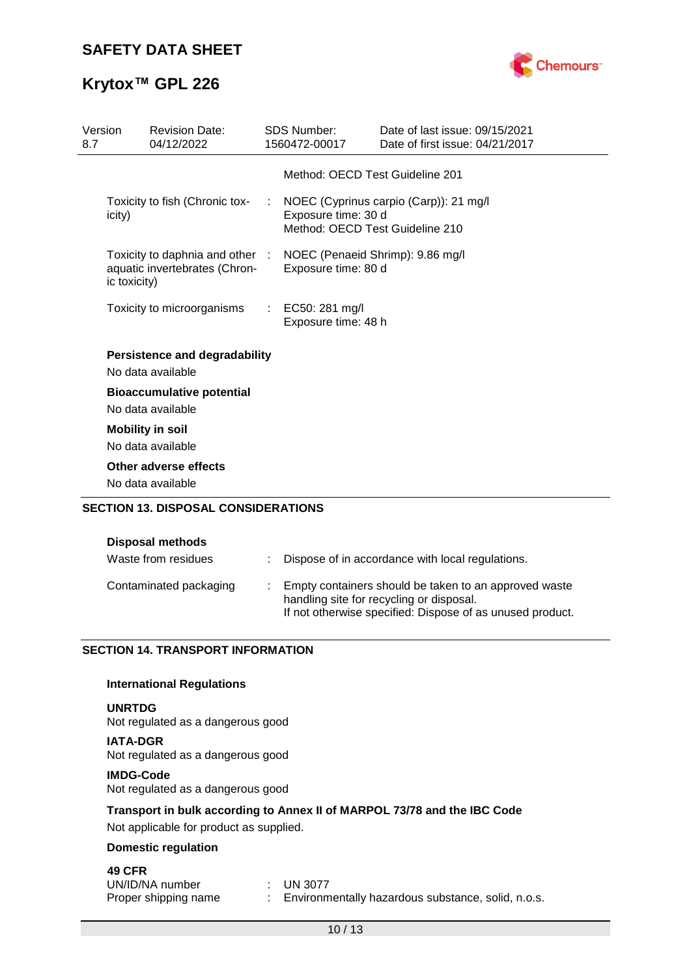



| Version<br>8.7 |              | <b>Revision Date:</b><br>04/12/2022                              |    | <b>SDS Number:</b><br>1560472-00017                     | Date of last issue: 09/15/2021<br>Date of first issue: 04/21/2017 |
|----------------|--------------|------------------------------------------------------------------|----|---------------------------------------------------------|-------------------------------------------------------------------|
|                |              |                                                                  |    | Method: OECD Test Guideline 201                         |                                                                   |
|                | icity)       | Toxicity to fish (Chronic tox-                                   | ÷  | Exposure time: 30 d<br>Method: OECD Test Guideline 210  | NOEC (Cyprinus carpio (Carp)): 21 mg/l                            |
|                | ic toxicity) | Toxicity to daphnia and other :<br>aquatic invertebrates (Chron- |    | NOEC (Penaeid Shrimp): 9.86 mg/l<br>Exposure time: 80 d |                                                                   |
|                |              | Toxicity to microorganisms                                       | t. | EC50: 281 mg/l<br>Exposure time: 48 h                   |                                                                   |
|                |              | <b>Persistence and degradability</b><br>No data available        |    |                                                         |                                                                   |
|                |              | <b>Bioaccumulative potential</b><br>No data available            |    |                                                         |                                                                   |
|                |              | <b>Mobility in soil</b><br>No data available                     |    |                                                         |                                                                   |
|                |              | Other adverse effects<br>No data available                       |    |                                                         |                                                                   |
|                |              | <b>SECTION 13. DISPOSAL CONSIDERATIONS</b>                       |    |                                                         |                                                                   |

| <b>Disposal methods</b> |                                                                                                   |
|-------------------------|---------------------------------------------------------------------------------------------------|
| Waste from residues     | : Dispose of in accordance with local regulations.                                                |
| Contaminated packaging  | Empty containers should be taken to an approved waste<br>handling site for recycling or disposal. |

If not otherwise specified: Dispose of as unused product.

### **SECTION 14. TRANSPORT INFORMATION**

#### **International Regulations**

#### **UNRTDG**

Not regulated as a dangerous good

**IATA-DGR** Not regulated as a dangerous good

#### **IMDG-Code**

Not regulated as a dangerous good

### **Transport in bulk according to Annex II of MARPOL 73/78 and the IBC Code**

Not applicable for product as supplied.

### **Domestic regulation**

## **49 CFR**

| UN/ID/NA number      | $\pm$ UN 3077                                        |
|----------------------|------------------------------------------------------|
| Proper shipping name | : Environmentally hazardous substance, solid, n.o.s. |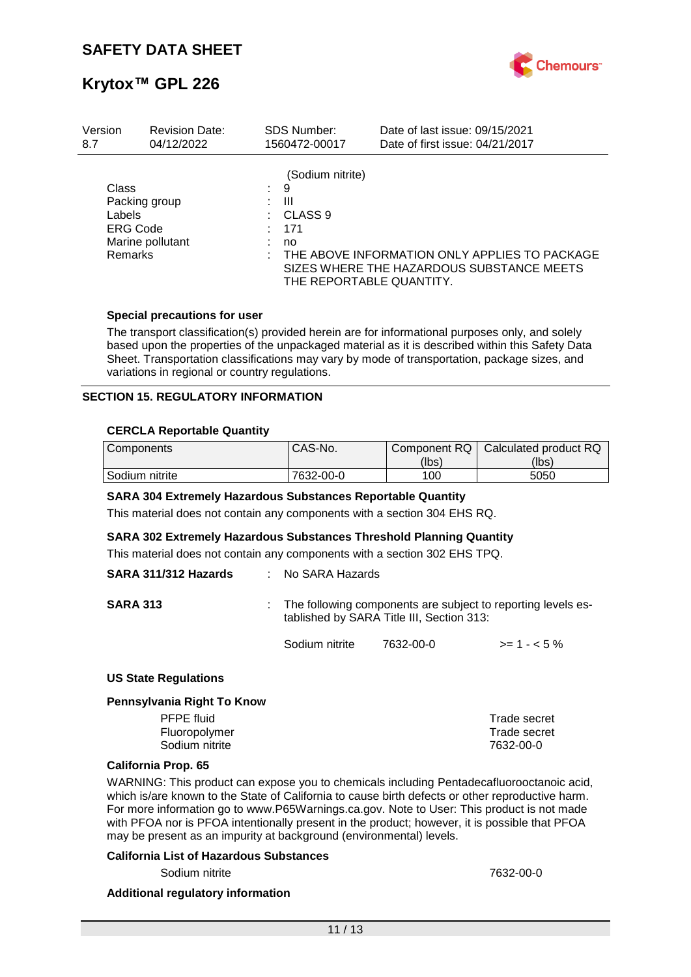

| Version                                                                      | <b>Revision Date:</b> | <b>SDS Number:</b>                                                             | Date of last issue: 09/15/2021                                                             |
|------------------------------------------------------------------------------|-----------------------|--------------------------------------------------------------------------------|--------------------------------------------------------------------------------------------|
| 8.7                                                                          | 04/12/2022            | 1560472-00017                                                                  | Date of first issue: 04/21/2017                                                            |
| <b>Class</b><br>Packing group<br>Labels<br><b>ERG Code</b><br><b>Remarks</b> | Marine pollutant      | (Sodium nitrite)<br>9<br>Ш<br>CLASS 9<br>171<br>no<br>THE REPORTABLE QUANTITY. | THE ABOVE INFORMATION ONLY APPLIES TO PACKAGE<br>SIZES WHERE THE HAZARDOUS SUBSTANCE MEETS |

#### **Special precautions for user**

The transport classification(s) provided herein are for informational purposes only, and solely based upon the properties of the unpackaged material as it is described within this Safety Data Sheet. Transportation classifications may vary by mode of transportation, package sizes, and variations in regional or country regulations.

#### **SECTION 15. REGULATORY INFORMATION**

#### **CERCLA Reportable Quantity**

| Components     | CAS-No.   | Component RQ | Calculated product RQ |
|----------------|-----------|--------------|-----------------------|
|                |           | (lbs)        | (lbs)                 |
| Sodium nitrite | 7632-00-0 | 100          | 5050                  |

#### **SARA 304 Extremely Hazardous Substances Reportable Quantity**

This material does not contain any components with a section 304 EHS RQ.

#### **SARA 302 Extremely Hazardous Substances Threshold Planning Quantity**

This material does not contain any components with a section 302 EHS TPQ.

| SARA 311/312 Hazards | $\therefore$ No SARA Hazards |                                           |                                                                |
|----------------------|------------------------------|-------------------------------------------|----------------------------------------------------------------|
| <b>SARA 313</b>      |                              | tablished by SARA Title III, Section 313: | : The following components are subject to reporting levels es- |
|                      | Sodium nitrite               | 7632-00-0                                 | $>= 1 - 5\%$                                                   |

#### **US State Regulations**

#### **Pennsylvania Right To Know**

| <b>PFPE</b> fluid | Trade secret |
|-------------------|--------------|
| Fluoropolymer     | Trade secret |
| Sodium nitrite    | 7632-00-0    |
|                   |              |

#### **California Prop. 65**

WARNING: This product can expose you to chemicals including Pentadecafluorooctanoic acid, which is/are known to the State of California to cause birth defects or other reproductive harm. For more information go to www.P65Warnings.ca.gov. Note to User: This product is not made with PFOA nor is PFOA intentionally present in the product; however, it is possible that PFOA may be present as an impurity at background (environmental) levels.

#### **California List of Hazardous Substances**

Sodium nitrite 7632-00-0

#### **Additional regulatory information**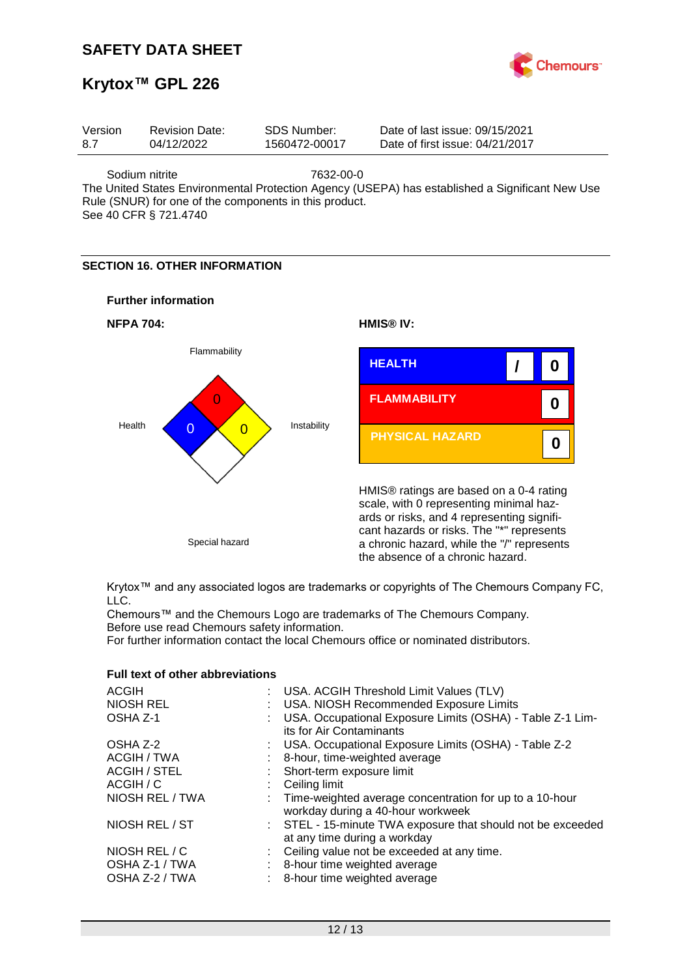## **SAFETY DATA SHEET**



# **Krytox™ GPL 226**

| Version | <b>Revision Date:</b> | SDS Number:   | Date of last issue: 09/15/2021  |  |
|---------|-----------------------|---------------|---------------------------------|--|
| 8.7     | 04/12/2022            | 1560472-00017 | Date of first issue: 04/21/2017 |  |
|         |                       |               |                                 |  |

Sodium nitrite 7632-00-0 The United States Environmental Protection Agency (USEPA) has established a Significant New Use Rule (SNUR) for one of the components in this product.

See 40 CFR § 721.4740

### **SECTION 16. OTHER INFORMATION**





Krytox™ and any associated logos are trademarks or copyrights of The Chemours Company FC, LLC.

Chemours™ and the Chemours Logo are trademarks of The Chemours Company. Before use read Chemours safety information.

For further information contact the local Chemours office or nominated distributors.

|  |  |  | <b>Full text of other abbreviations</b> |  |
|--|--|--|-----------------------------------------|--|
|--|--|--|-----------------------------------------|--|

| ACGIH                                             | : USA. ACGIH Threshold Limit Values (TLV)                                                                    |
|---------------------------------------------------|--------------------------------------------------------------------------------------------------------------|
| <b>NIOSH REL</b>                                  | : USA. NIOSH Recommended Exposure Limits                                                                     |
| OSHA Z-1                                          | : USA. Occupational Exposure Limits (OSHA) - Table Z-1 Lim-<br>its for Air Contaminants                      |
| OSHA Z-2                                          | : USA. Occupational Exposure Limits (OSHA) - Table Z-2                                                       |
| ACGIH / TWA                                       | : 8-hour, time-weighted average                                                                              |
| <b>ACGIH / STEL</b>                               | : Short-term exposure limit                                                                                  |
| ACGIH / C                                         | : Ceiling limit                                                                                              |
| NIOSH REL / TWA                                   | : Time-weighted average concentration for up to a 10-hour<br>workday during a 40-hour workweek               |
| NIOSH REL / ST                                    | : STEL - 15-minute TWA exposure that should not be exceeded<br>at any time during a workday                  |
| NIOSH REL / C<br>OSHA Z-1 / TWA<br>OSHA Z-2 / TWA | : Ceiling value not be exceeded at any time.<br>8-hour time weighted average<br>8-hour time weighted average |